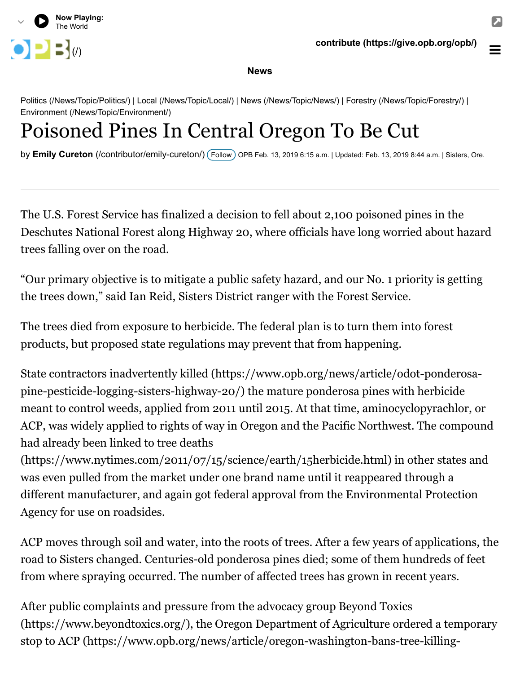

**News**

[Politics \(/News/Topic/Politics/\)](https://www.opb.org/news/topic/politics/) | [Local \(/News/Topic/Local/\)](https://www.opb.org/news/topic/local/) | [News \(/News/Topic/News/\)](https://www.opb.org/news/topic/news/) | [Forestry \(/News/Topic/Forestry/\)](https://www.opb.org/news/topic/forestry/) | [Environment \(/News/Topic/Environment/\)](https://www.opb.org/news/topic/environment/)

## Poisoned Pines In Central Oregon To Be Cut

by **Emily Cureton** [\(/contributor/emily-cureton/\)](https://www.opb.org/contributor/emily-cureton/) ( Follow ) OPB Feb. 13, 2019 6:15 a.m. | Updated: Feb. 13, 2019 8:44 a.m. | Sisters, Ore.

The U.S. Forest Service has finalized a decision to fell about 2,100 poisoned pines in the Deschutes National Forest along Highway 20, where officials have long worried about hazard trees falling over on the road.

"Our primary objective is to mitigate a public safety hazard, and our No. 1 priority is getting the trees down," said Ian Reid, Sisters District ranger with the Forest Service.

The trees died from exposure to herbicide. The federal plan is to turn them into forest products, but proposed state regulations may prevent that from happening.

[State contractors inadvertently killed \(https://www.opb.org/news/article/odot-ponderosa](https://www.opb.org/news/article/odot-ponderosa-pine-pesticide-logging-sisters-highway-20/)pine-pesticide-logging-sisters-highway-20/) the mature ponderosa pines with herbicide meant to control weeds, applied from 2011 until 2015. At that time, aminocyclopyrachlor, or ACP, was widely applied to rights of way in Oregon and the Pacific Northwest. The compound had already been linked to tree deaths

[\(https://www.nytimes.com/2011/07/15/science/earth/15herbicide.html\)](https://www.nytimes.com/2011/07/15/science/earth/15herbicide.html) in other states and was even pulled from the market under one brand name until it reappeared through a different manufacturer, and again got federal approval from the Environmental Protection Agency for use on roadsides.

ACP moves through soil and water, into the roots of trees. After a few years of applications, the road to Sisters changed. Centuries-old ponderosa pines died; some of them hundreds of feet from where spraying occurred. The number of affected trees has grown in recent years.

After public complaints and pressure from the advocacy group Beyond Toxics [\(https://www.beyondtoxics.org/\), the Oregon Department of Agriculture ord](https://www.beyondtoxics.org/)[ered a temporary](https://www.opb.org/news/article/oregon-washington-bans-tree-killing-herbicide-investigation/) stop to ACP (https://www.opb.org/news/article/oregon-washington-bans-tree-killing-